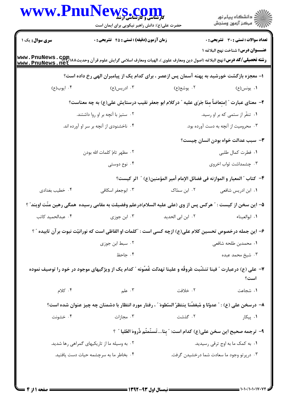|                        | <b>ews.com</b><br>حضرت علی(ع): دانش راهبر نیکویی برای ایمان است                                                   |                                                                             | ڪ دانشڪاه پيا <sub>م</sub> نور<br>∕ <sup>7</sup> مرڪز آزمون وسنڊش |
|------------------------|-------------------------------------------------------------------------------------------------------------------|-----------------------------------------------------------------------------|-------------------------------------------------------------------|
| <b>سری سوال :</b> یک ۱ | <b>زمان آزمون (دقیقه) : تستی : 45 تشریحی : 0</b>                                                                  |                                                                             | <b>تعداد سوالات : تستی : 30 ٪ تشریحی : 0</b>                      |
|                        |                                                                                                                   |                                                                             | <b>عنـــوان درس:</b> شناخت نهج البلاغه ۱                          |
|                        | ا– معجزه بازگشت خورشید به پهنه آسمان پس ازعصر ، برای کدام یک از پیامبران الهی رخ داده است؟                        |                                                                             |                                                                   |
| ۰۴ ايوب(ع)             | ۰۳ ادریس(ع)                                                                                                       | ۰۲ يوشع(ع)                                                                  | ۰۱ يونس(ع)                                                        |
|                        | ٢- معنای عبارت " إمتعاضاً مِمّا جَرَى عليه " دركلام ابو جعفر نقيب درستايش على(ع) به چه معناست؟                    |                                                                             |                                                                   |
|                        | ۲. ستیز با آنچه بر او روا داشتند.                                                                                 |                                                                             | ۰۱ تنفّر از ستمی که بر او رسید.                                   |
|                        | ۰۴ ناخشنودی از آنچه بر سر او آورده اند.                                                                           |                                                                             | ۰۳ محرومیت از آنچه به دست آورده بود.                              |
|                        |                                                                                                                   |                                                                             | <b>۳</b> - سبب عدالت خواه بودن انسان چیست؟                        |
|                        | ٢. مظهر تامّ كلمات الله بودن                                                                                      |                                                                             | ٠١. فطرت كمال طلبي                                                |
|                        | ۰۴ نوع دوستی                                                                                                      |                                                                             | ۰۳ چشمداشت ثواب اخروی                                             |
|                        |                                                                                                                   | ۴–  كتاب " المعيار و الموازنه في فضائل الإمام أمير المؤمنين(ع) "  اثر كيست؟ |                                                                   |
| ۰۴ خطیب بغدادی         | ۰۳ ابوجعفر اسکافی                                                                                                 | ۰۲ ابن سمّاک                                                                | ٠١. ابن ادريس شافعي                                               |
|                        | ۵– این سخن از کیست : " هرکس پس از وی (علی علیه السلام)درعلم وفضیلت به مقامی رسیده ًهمگی رهین منّت اویند" ؟        |                                                                             |                                                                   |
| ۰۴ عبدالحمید کاتب      | ۰۳ ابن جوزی                                                                                                       | ۰۲ ابن ابی الحدید                                                           | ٠١. ابوالعيناء                                                    |
|                        | ۶– این جمله درخصوص تحسین کلام علی(ع) ازچه کسی است : "کلمات او الفاظی است که نورانیّت نبوت بر آن تابیده " ؟        |                                                                             |                                                                   |
|                        | ۰۲ سبط ابن جوزی                                                                                                   |                                                                             | ٠١ محمدبن طلحه شافعي                                              |
|                        | ۰۴ جاحظ                                                                                                           |                                                                             | ۰۳ شیخ محمد عبده                                                  |
|                        | ۷– علی (ع) درعبارت ″ فینا تنشّبت عُروقٌه و علینا تهدّلت غُصُونه ″ کدام یک از ویژگیهای موجود در خود را توصیف نموده |                                                                             | است؟                                                              |
| $\cdot$ کلام           | ۰۳ علم $\mathcal{F}$                                                                                              | ۲. خلافت                                                                    | ٠١. شجاعت                                                         |
|                        | ٨– درسخن على (ع) : " عدوّتا و مُبغضّنا ينتظرُ السّطوهَ " ، رفتار مورد انتظار با دشمنان چه چيز عنوان شده است؟      |                                                                             |                                                                   |
| ۰۴ خشونت               | ۰۳ مجازات                                                                                                         | ۰۲ گذشت                                                                     | ۰۱ پیکار                                                          |
|                        |                                                                                                                   | ٩- ترجمه صحيح اين سخن على(ع) كدام است: " بناتَسنَّمتُم ذُروهَ العُليا " ؟   |                                                                   |
|                        | ۰۲ به وسیله ما از تاریکیهای گمراهی رها شدید.                                                                      |                                                                             | ۰۱ به کمک ما به اوج ترقی رسیدید.                                  |
|                        | ۰۴ بخاطر ما به سرچشمه حیات دست یافتید.                                                                            |                                                                             | ۰۳ درپرتو وجود ما سعادت شما درخشیدن گرفت.                         |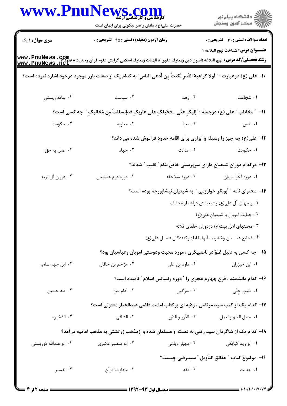|                           | WWW.PnuNews.com<br>حضرت علی(ع): دانش راهبر نیکویی برای ایمان است                                                           |                       | ر<br>دانشڪاه پيام نور)<br>ا∛ مرڪز آزمون وسنڊش                                   |
|---------------------------|----------------------------------------------------------------------------------------------------------------------------|-----------------------|---------------------------------------------------------------------------------|
| <b>سری سوال : ۱ یک</b>    | زمان آزمون (دقیقه) : تستی : 45 آتشریحی : 0                                                                                 |                       | <b>تعداد سوالات : تستی : 30 ٪ تشریحی : 0</b>                                    |
| www.PnuNews.net           |                                                                                                                            |                       | عنـــوان درس: شناخت نهج البلاغه ١                                               |
|                           | +ا– على (ع) درعبارت : " لَولا كراهيهُ الغَدرِ لَكنتٌ مِن أدهى الناسِ" به كدام يک از صفات بارز موجود درخود اشاره نموده است؟ |                       |                                                                                 |
| ۰۴ ساده زیستی             | ۰۳ سیاست                                                                                                                   | ۰۲ زهد                | ٠١ شجاعت                                                                        |
|                           | ١١- ٪ مخاطب " على (ع) درجمله : "إليكِ عنَّى …فحَبلكِ على غاربكِ قدإنسللتٌ مِن مَخالبكِ " چه كسى است؟                       |                       |                                                                                 |
| ۰۴ حکومت                  |                                                                                                                            | ۲. دنیا است که معاویه | ۰۱ نفس                                                                          |
|                           |                                                                                                                            |                       | ۱۲- علی(ع) چه چیز را وسیله و ابزاری برای اقامه حدودِ فراموش شده می داند؟        |
| ۰۴ عمل به حق              | ۰۳ جهاد                                                                                                                    | ۰۲ عدالت              | ۰۱ حکومت                                                                        |
|                           |                                                                                                                            |                       | ۱۳– درکدام دوران شیعیان دارای سرپرستی خاصّ بنام ؒ نقیب ؒ شدند؟                  |
| ۰۴ دوران آل بويه          | ۰۳ دوره دوم عباسیان                                                                                                        | ۰۲ دوره سلاجقه        | ۰۱ دوره آخر امويان                                                              |
|                           | ۱۴– محتوای نامه " أبوبکر خوارزمی " به شیعیان نیشابورچه بوده است؟                                                           |                       |                                                                                 |
|                           |                                                                                                                            |                       | ٠١ رنجهاي آل على(ع) وشيعيانش دراعصار مختلف                                      |
|                           |                                                                                                                            |                       | ۰۲ جنایت امویان با شیعیان علی(ع)                                                |
|                           |                                                                                                                            |                       | ۰۳ محنتهای اهل بیت(ع) دردوران خلفای ثلاثه                                       |
|                           |                                                                                                                            |                       | ۰۴ فجايع عباسيان وخشونت آنها با اظهار كنندگان فضايل على(ع)                      |
|                           |                                                                                                                            |                       | ۱۵– چه کسی به دلیل غلوّ در ناصبیگری ، مورد محبت ودوستی امویان وعباسیان بود؟     |
| ۰۴ ابن جهم سامی           | ۰۳ مزاحم بن خاقان                                                                                                          | ۰۲ داود بن علی        | ۰۱ ابن خیزران                                                                   |
|                           |                                                                                                                            |                       | ۱۶- کدام دانشمند ، قرن چهارم هجری را " دوره رنسانس اسلام " نامیده است؟          |
| ۰۴ طه حسین                | ۰۳ آدام متز                                                                                                                | ۰۲ سزگین              | ۰۱ فلیپ حتّی                                                                    |
|                           |                                                                                                                            |                       | ۱۷- کدام یک از کتب سید مرتضی ، ردّیه ای برکتاب امامت قاضی عبدالجبار معتزلی است؟ |
| ۰۴ الذخيره                | ۰۳ الشافی                                                                                                                  | ۰۲ الغُرر و الدُرر    | ٠١ جمل العلم والعمل                                                             |
|                           | ۱۸– کدام یک از شاگردان سید رضی به دست او مسلمان شده و ازمذهب زرتشتی به مذهب امامیه درآمد؟                                  |                       |                                                                                 |
| ۰۴ ابو عبدالله دُورِيَستي | ۰۳ ابو منصور عکبری                                                                                                         | ۰۲ مهيار ديلمي        | ۰۱ ابو زید کبایکی                                                               |
|                           |                                                                                                                            |                       | ١٩-  موضوع كتاب " حقائق التأويل " سيدرضي چيست؟                                  |
| ۰۴ تفسیر                  | ۰۳ مجازات قرآن                                                                                                             | ۰۲ فقه                | ۰۱ حدیث                                                                         |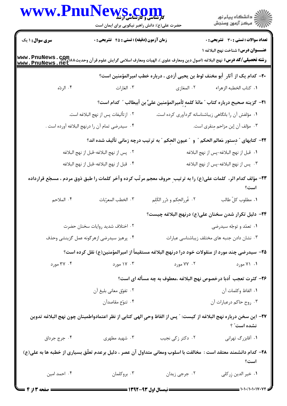| WWW.PnuNews.com                                                                                                                                                                                            | حضرت علی(ع): دانش راهبر نیکویی برای ایمان است     |                                                                                                                          | ر<br>دانشڪاه پيام نور)<br>ا∛ مرڪز آزمون وسنڊش |  |  |
|------------------------------------------------------------------------------------------------------------------------------------------------------------------------------------------------------------|---------------------------------------------------|--------------------------------------------------------------------------------------------------------------------------|-----------------------------------------------|--|--|
| <b>سری سوال : ۱ یک</b>                                                                                                                                                                                     | <b>زمان آزمون (دقیقه) : تستی : 45 گتشریحی : 0</b> |                                                                                                                          | <b>تعداد سوالات : تستی : 30 ٪ تشریحی : 0</b>  |  |  |
| <b>عنـــوان درس:</b> شناخت نهج البلاغه ۱<br>رشته تحصیلی/کد درس: نهج البلاغه (اصول دین ومعارف علوی )، الهیات ومعارف اسلامی گرایش علوم قرآن وحدیث۸۸۸ <del>'M</del> ww . PnuNews . net<br>www . PnuNews . net |                                                   |                                                                                                                          |                                               |  |  |
|                                                                                                                                                                                                            |                                                   | +٢- كدام يک از آثار ِ أبو مخنف لوط بن يحيى أزدى ، درباره خطب اميرالمؤمنين است؟                                           |                                               |  |  |
| ۰۴ الردّه                                                                                                                                                                                                  | ۰۳ الغارات                                        | ۰۲ المغازی                                                                                                               | ٠١. كتاب الخطبه الزهراء                       |  |  |
|                                                                                                                                                                                                            |                                                   | <del>\</del> ٢- كَزِينه صحيح درباره كتاب ″ مائهُ كلمهٍ لِأميرالمؤمنين علىٍّ بن أبيطالب ″ كدام است؟                       |                                               |  |  |
| ٢.  از تأليفات پس از نهج البلاغه است.                                                                                                                                                                      |                                                   | ٠١ مؤلفش آن را بانگاهي زيباشناسانه گردآوري كرده است.                                                                     |                                               |  |  |
|                                                                                                                                                                                                            | ۰۴ سیدرضی تمام آن را درنهج البلاغه آورده است .    |                                                                                                                          | ۰۳ مؤلف آن إبن مزاحم مِنقرى است.              |  |  |
|                                                                                                                                                                                                            |                                                   | ٢٢- كتابهاي " دِستور مَعالم الحكم " و  " عيون الحِكم " به ترتيب درچه زماني تأليف شده اند؟                                |                                               |  |  |
| ٢.   پس از نهج البلاغه-قبل از نهج البلاغه                                                                                                                                                                  |                                                   | <mark>1</mark> . قبل از نهج البلاغه-پس از نهج البلاغه                                                                    |                                               |  |  |
|                                                                                                                                                                                                            | ۴. قبل از نهج البلاغه-قبل از نهج البلاغه          |                                                                                                                          | ۰۳ پس از نهج البلاغه-پس از نهج البلاغه        |  |  |
|                                                                                                                                                                                                            |                                                   | ۲۳- مؤلف کدام اثر، کلمات علی(ع) را به ترتیب ِ حروف معجم مرتّب کرده وآخر کلمات را طبق ذوق مردم ، مسجّع قرارداده           | است؟                                          |  |  |
| ۴. الملاحم                                                                                                                                                                                                 | ٠٣ الخطب المعرّبات                                | ٢. غُررالحِكم و دُرر الكَلِم                                                                                             | ٠١. مطلوب كلِّ طالب                           |  |  |
|                                                                                                                                                                                                            |                                                   | ۲۴– دلیل تکرار شدن سخنان علی(ع) درنهج البلاغه چیست؟                                                                      |                                               |  |  |
| ٠٢ اختلاف شديد روايات سخنان حضرت                                                                                                                                                                           |                                                   | ۰۱ تعمّد و توجّه سیدرضی                                                                                                  |                                               |  |  |
| ۰۴ پرهيز سيدرضي ازهرگونه عمل گزينشي وحذف                                                                                                                                                                   |                                                   |                                                                                                                          | ۰۳ نشان دادن جنبه های مختلف زیباشناسی عبارات  |  |  |
|                                                                                                                                                                                                            |                                                   | ۲۵– سیدرضی چند مورد از منقولات خود درا درنهج البلاغه مستقیماً از امیرالمؤمنین(ع) نقل کرده است؟                           |                                               |  |  |
| ۰۴ مورد                                                                                                                                                                                                    | ۰۳ ۱۷ مورد                                        | ۰۲ ۷۷ مورد                                                                                                               | ۰۱ ۷۱ مورد                                    |  |  |
|                                                                                                                                                                                                            |                                                   | ۲۶– کثرت تعجب أدبا درخصوص نهج البلاغه ،معطوف به چه مسأله ای است؟                                                         |                                               |  |  |
|                                                                                                                                                                                                            | ۰۲ تفوّق معاني بليغ أن                            | ٠١. الفاظ وكلمات آن                                                                                                      |                                               |  |  |
|                                                                                                                                                                                                            | ۰۴ تنوّع مقاصداًن                                 |                                                                                                                          | ۰۳ روح حاكم درعبارات آن                       |  |  |
|                                                                                                                                                                                                            |                                                   | <b>٣٧</b> – اين سخن درباره نهج البلاغه از كيست: ″ پس از الفاظ وحي الهى كتابى از نظر اعتمادواطمينان چون نهج البلاغه تدوين | نشده است" ؟                                   |  |  |
| ۰۴ جرج جرداق                                                                                                                                                                                               | ۰۳ شهید مطهری                                     | ۰۲ دکتر زکی نجیب                                                                                                         | ۰۱ آقابزرگ تهرانی                             |  |  |
|                                                                                                                                                                                                            |                                                   | ۲۸– کدام دانشمند معتقد است : مخالفت با اسلوب ومعانی متداول آن عصر ، دلیل برعدم تعلّق بسیاری از خطبه ها به علی(ع)         | است؟                                          |  |  |
| ۰۴ احمد امين                                                                                                                                                                                               | ۰۳ بروکلمان                                       | ۰۲ جرجي زيدان                                                                                                            | ٠١. خير الدين زركلي                           |  |  |